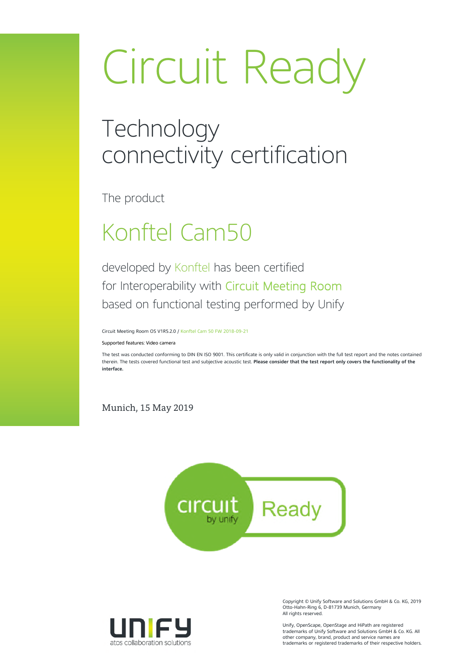# Circuit Ready

### **Technology** connectivity certification

The product

## Konftel Cam50

developed by Konftel has been certified for Interoperability with Circuit Meeting Room based on functional testing performed by Unify

Circuit Meeting Room OS V1R5.2.0 / Konftel Cam 50 FW 2018-09-21

Supported features: Video camera

The test was conducted conforming to DIN EN ISO 9001. This certificate is only valid in conjunction with the full test report and the notes contained therein. The tests covered functional test and subjective acoustic test. **Please consider that the test report only covers the functionality of the interface.**

Munich, 15 May 2019





Copyright © Unify Software and Solutions GmbH & Co. KG, 2019 Otto-Hahn-Ring 6, D-81739 Munich, Germany All rights reserved.

Unify, OpenScape, OpenStage and HiPath are registered trademarks of Unify Software and Solutions GmbH & Co. KG. All other company, brand, product and service names are trademarks or registered trademarks of their respective holders.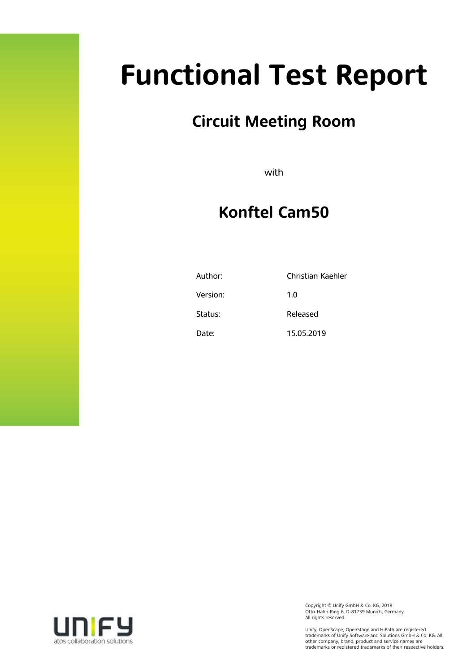# **Functional Test Report**

### **Circuit Meeting Room**

with

### **Konftel Cam50**

| Author:  | Christian Kaehler |
|----------|-------------------|
| Version: | 1.0               |
| Status:  | Released          |
| Date:    | 15.05.2019        |



Copyright © Unify GmbH & Co. KG, 2019 Otto-Hahn-Ring 6, D-81739 Munich, Germany All rights reserved.

Unify, OpenScape, OpenStage and HiPath are registered trademarks of Unify Software and Solutions GmbH & Co. KG. All other company, brand, product and service names are trademarks or registered trademarks of their respective holders.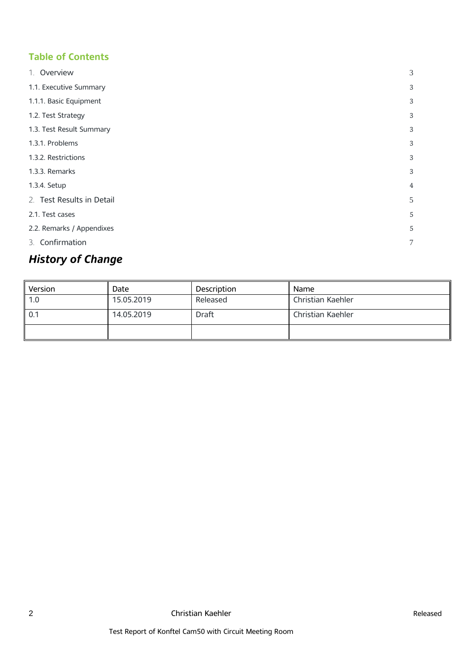#### **Table of Contents**

| 1. Overview               | 3              |
|---------------------------|----------------|
| 1.1. Executive Summary    | 3              |
| 1.1.1. Basic Equipment    | 3              |
| 1.2. Test Strategy        | 3              |
| 1.3. Test Result Summary  | 3              |
| 1.3.1. Problems           | 3              |
| 1.3.2. Restrictions       | 3              |
| 1.3.3. Remarks            | 3              |
| 1.3.4. Setup              | 4              |
| 2. Test Results in Detail | 5              |
| 2.1. Test cases           | 5              |
| 2.2. Remarks / Appendixes | 5              |
| 3. Confirmation           | $\overline{7}$ |

### *History of Change*

| Version | Date       | <b>Description</b> | Name              |
|---------|------------|--------------------|-------------------|
| 1.0     | 15.05.2019 | Released           | Christian Kaehler |
| 0.1     | 14.05.2019 | <b>Draft</b>       | Christian Kaehler |
|         |            |                    |                   |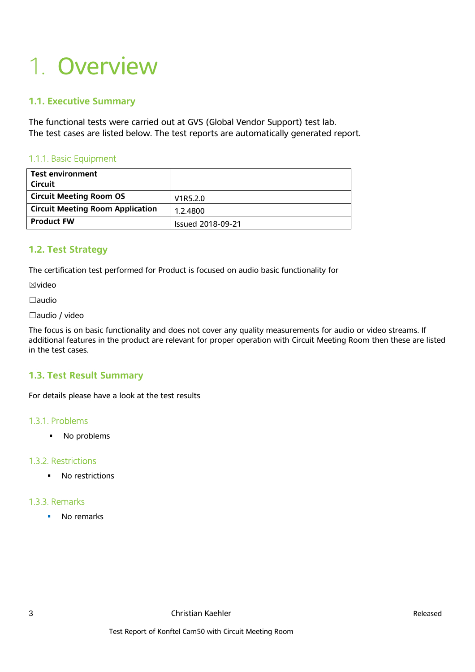## 1. Overview

#### **1.1. Executive Summary**

The functional tests were carried out at GVS (Global Vendor Support) test lab. The test cases are listed below. The test reports are automatically generated report.

#### 1.1.1. Basic Equipment

| <b>Test environment</b>                 |                          |
|-----------------------------------------|--------------------------|
| <b>Circuit</b>                          |                          |
| <b>Circuit Meeting Room OS</b>          | V1R5.2.0                 |
| <b>Circuit Meeting Room Application</b> | 1.2.4800                 |
| <b>Product FW</b>                       | <b>Issued 2018-09-21</b> |

#### **1.2. Test Strategy**

The certification test performed for Product is focused on audio basic functionality for

☒video

☐audio

☐audio / video

The focus is on basic functionality and does not cover any quality measurements for audio or video streams. If additional features in the product are relevant for proper operation with Circuit Meeting Room then these are listed in the test cases.

#### **1.3. Test Result Summary**

For details please have a look at the test results

#### 1.3.1. Problems

• No problems

#### 1.3.2. Restrictions

• No restrictions

#### 1.3.3. Remarks

• No remarks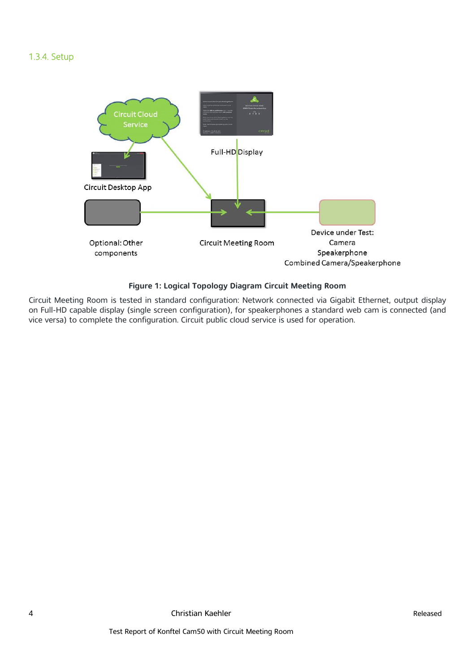#### 1.3.4. Setup



#### **Figure 1: Logical Topology Diagram Circuit Meeting Room**

Circuit Meeting Room is tested in standard configuration: Network connected via Gigabit Ethernet, output display on Full-HD capable display (single screen configuration), for speakerphones a standard web cam is connected (and vice versa) to complete the configuration. Circuit public cloud service is used for operation.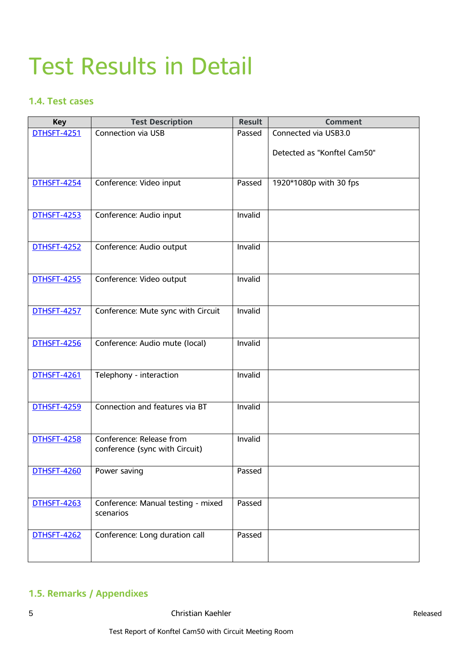### Test Results in Detail

#### **1.4. Test cases**

| <b>Key</b>         | <b>Test Description</b>                                    | <b>Result</b> | <b>Comment</b>              |
|--------------------|------------------------------------------------------------|---------------|-----------------------------|
| <b>DTHSFT-4251</b> | Connection via USB                                         | Passed        | Connected via USB3.0        |
|                    |                                                            |               | Detected as "Konftel Cam50" |
| <b>DTHSFT-4254</b> | Conference: Video input                                    | Passed        | 1920*1080p with 30 fps      |
| <b>DTHSFT-4253</b> | Conference: Audio input                                    | Invalid       |                             |
| <b>DTHSFT-4252</b> | Conference: Audio output                                   | Invalid       |                             |
| <b>DTHSFT-4255</b> | Conference: Video output                                   | Invalid       |                             |
| <b>DTHSFT-4257</b> | Conference: Mute sync with Circuit                         | Invalid       |                             |
| <b>DTHSFT-4256</b> | Conference: Audio mute (local)                             | Invalid       |                             |
| <b>DTHSFT-4261</b> | Telephony - interaction                                    | Invalid       |                             |
| <b>DTHSFT-4259</b> | Connection and features via BT                             | Invalid       |                             |
| <b>DTHSFT-4258</b> | Conference: Release from<br>conference (sync with Circuit) | Invalid       |                             |
| <b>DTHSFT-4260</b> | Power saving                                               | Passed        |                             |
| <b>DTHSFT-4263</b> | Conference: Manual testing - mixed<br>scenarios            | Passed        |                             |
| <b>DTHSFT-4262</b> | Conference: Long duration call                             | Passed        |                             |

#### **1.5. Remarks / Appendixes**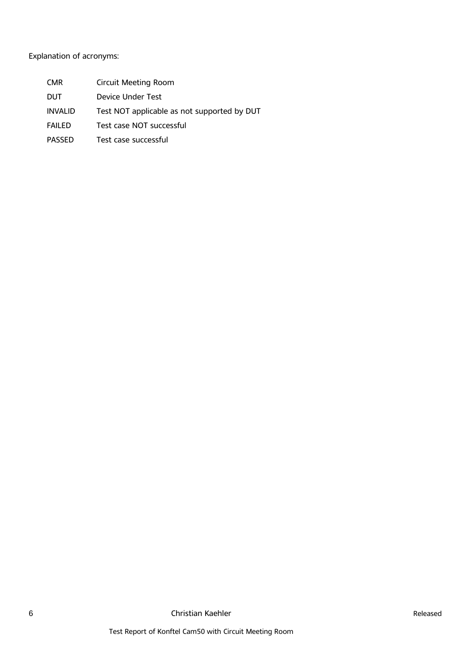#### Explanation of acronyms:

- CMR Circuit Meeting Room
- DUT Device Under Test
- INVALID Test NOT applicable as not supported by DUT
- FAILED Test case NOT successful
- PASSED Test case successful